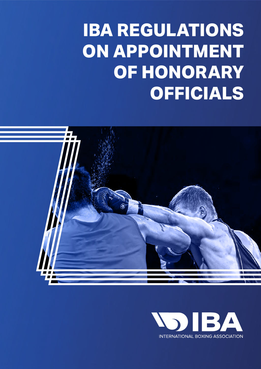# **IBA REGULATIONS ON APPOINTMENT OF HONORARY OFFICIALS**



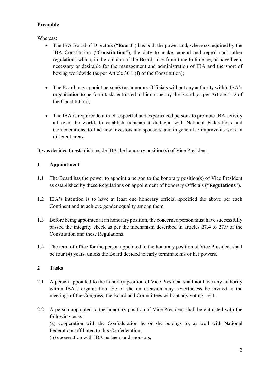### **Preamble**

Whereas:

- The IBA Board of Directors ("**Board**") has both the power and, where so required by the IBA Constitution ("**Constitution**"), the duty to make, amend and repeal such other regulations which, in the opinion of the Board, may from time to time be, or have been, necessary or desirable for the management and administration of IBA and the sport of boxing worldwide (as per Article 30.1 (f) of the Constitution);
- The Board may appoint person(s) as honorary Officials without any authority within IBA's organization to perform tasks entrusted to him or her by the Board (as per Article 41.2 of the Constitution);
- The IBA is required to attract respectful and experienced persons to promote IBA activity all over the world, to establish transparent dialogue with National Federations and Confederations, to find new investors and sponsors, and in general to improve its work in different areas;

It was decided to establish inside IBA the honorary position(s) of Vice President.

## **1 Appointment**

- 1.1 The Board has the power to appoint a person to the honorary position(s) of Vice President as established by these Regulations on appointment of honorary Officials ("**Regulations**").
- 1.2 IBA's intention is to have at least one honorary official specified the above per each Continent and to achieve gender equality among them.
- 1.3 Before being appointed at an honorary position, the concerned person must have successfully passed the integrity check as per the mechanism described in articles 27.4 to 27.9 of the Constitution and these Regulations.
- 1.4 The term of office for the person appointed to the honorary position of Vice President shall be four (4) years, unless the Board decided to early terminate his or her powers.

## **2 Tasks**

- 2.1 A person appointed to the honorary position of Vice President shall not have any authority within IBA's organisation. He or she on occasion may nevertheless be invited to the meetings of the Congress, the Board and Committees without any voting right.
- 2.2 A person appointed to the honorary position of Vice President shall be entrusted with the following tasks:

(a) cooperation with the Confederation he or she belongs to, as well with National Federations affiliated to this Confederation;

(b) cooperation with IBA partners and sponsors;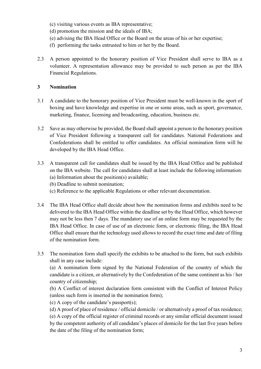- (c) visiting various events as IBA representative;
- (d) promotion the mission and the ideals of IBA;
- (e) advising the IBA Head Office or the Board on the areas of his or her expertise;
- (f) performing the tasks entrusted to him or her by the Board.
- 2.3 A person appointed to the honorary position of Vice President shall serve to IBA as a volunteer. A representation allowance may be provided to such person as per the IBA Financial Regulations.

#### **3 Nomination**

- 3.1 A candidate to the honorary position of Vice President must be well-known in the sport of boxing and have knowledge and expertise in one or some areas, such as sport, governance, marketing, finance, licensing and broadcasting, education, business etc.
- 3.2 Save as may otherwise be provided, the Board shall appoint a person to the honorary position of Vice President following a transparent call for candidates. National Federations and Confederations shall be entitled to offer candidates. An official nomination form will be developed by the IBA Head Office.
- 3.3 A transparent call for candidates shall be issued by the IBA Head Office and be published on the IBA website. The call for candidates shall at least include the following information:
	- (a) Information about the position(s) available;
	- (b) Deadline to submit nomination;
	- (c) Reference to the applicable Regulations or other relevant documentation.
- 3.4 The IBA Head Office shall decide about how the nomination forms and exhibits need to be delivered to the IBA Head Office within the deadline set by the Head Office, which however may not be less then 7 days. The mandatory use of an online form may be requested by the IBA Head Office. In case of use of an electronic form, or electronic filing, the IBA Head Office shall ensure that the technology used allows to record the exact time and date of filing of the nomination form.
- 3.5 The nomination form shall specify the exhibits to be attached to the form, but such exhibits shall in any case include:

(a) A nomination form signed by the National Federation of the country of which the candidate is a citizen, or alternatively by the Confederation of the same continent as his / her country of citizenship;

(b) A Conflict of interest declaration form consistent with the Conflict of Interest Policy (unless such form is inserted in the nomination form);

(c) A copy of the candidate's passport(s);

(d) A proof of place of residence / official domicile / or alternatively a proof of tax residence; (e) A copy of the official register of criminal records or any similar official document issued by the competent authority of all candidate's places of domicile for the last five years before the date of the filing of the nomination form;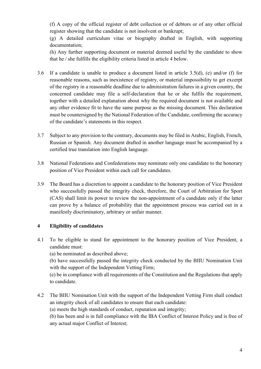(f) A copy of the official register of debt collection or of debtors or of any other official register showing that the candidate is not insolvent or bankrupt;

(g) A detailed curriculum vitae or biography drafted in English, with supporting documentation;

(h) Any further supporting document or material deemed useful by the candidate to show that he / she fulfills the eligibility criteria listed in article 4 below.

- 3.6 If a candidate is unable to produce a document listed in article 3.5(d), (e) and/or (f) for reasonable reasons, such as inexistence of registry, or material impossibility to get excerpt of the registry in a reasonable deadline due to administration failures in a given country, the concerned candidate may file a self-declaration that he or she fulfils the requirement, together with a detailed explanation about why the required document is not available and any other evidence fit to have the same purpose as the missing document. This declaration must be countersigned by the National Federation of the Candidate, confirming the accuracy of the candidate's statements in this respect.
- 3.7 Subject to any provision to the contrary, documents may be filed in Arabic, English, French, Russian or Spanish. Any document drafted in another language must be accompanied by a certified true translation into English language.
- 3.8 National Federations and Confederations may nominate only one candidate to the honorary position of Vice President within each call for candidates.
- 3.9 The Board has a discretion to appoint a candidate to the honorary position of Vice President who successfully passed the integrity check, therefore, the Court of Arbitration for Sport (CAS) shall limit its power to review the non-appointment of a candidate only if the latter can prove by a balance of probability that the appointment process was carried out in a manifestly discriminatory, arbitrary or unfair manner.

### **4 Eligibility of candidates**

4.1 To be eligible to stand for appointment to the honorary position of Vice President, a candidate must:

(a) be nominated as described above;

(b) have successfully passed the integrity check conducted by the BIIU Nomination Unit with the support of the Independent Vetting Firm;

(e) be in compliance with all requirements of the Constitution and the Regulations that apply to candidate.

4.2 The BIIU Nomination Unit with the support of the Independent Vetting Firm shall conduct an integrity check of all candidates to ensure that each candidate:

(a) meets the high standards of conduct, reputation and integrity;

(b) has been and is in full compliance with the IBA Conflict of Interest Policy and is free of any actual major Conflict of Interest;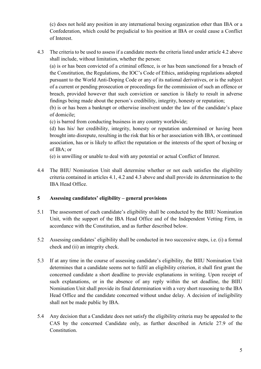(c) does not hold any position in any international boxing organization other than IBA or a Confederation, which could be prejudicial to his position at IBA or could cause a Conflict of Interest.

4.3 The criteria to be used to assess if a candidate meets the criteria listed under article 4.2 above shall include, without limitation, whether the person:

(a) is or has been convicted of a criminal offence, is or has been sanctioned for a breach of the Constitution, the Regulations, the IOC's Code of Ethics, antidoping regulations adopted pursuant to the World Anti-Doping Code or any of its national derivatives, or is the subject of a current or pending prosecution or proceedings for the commission of such an offence or breach, provided however that such conviction or sanction is likely to result in adverse findings being made about the person's credibility, integrity, honesty or reputation;

(b) is or has been a bankrupt or otherwise insolvent under the law of the candidate's place of domicile;

(c) is barred from conducting business in any country worldwide;

(d) has his/ her credibility, integrity, honesty or reputation undermined or having been brought into disrepute, resulting in the risk that his or her association with IBA, or continued association, has or is likely to affect the reputation or the interests of the sport of boxing or of IBA; or

(e) is unwilling or unable to deal with any potential or actual Conflict of Interest.

4.4 The BIIU Nomination Unit shall determine whether or not each satisfies the eligibility criteria contained in articles 4.1, 4.2 and 4.3 above and shall provide its determination to the IBA Head Office.

### **5 Assessing candidates' eligibility – general provisions**

- 5.1 The assessment of each candidate's eligibility shall be conducted by the BIIU Nomination Unit, with the support of the IBA Head Office and of the Independent Vetting Firm, in accordance with the Constitution, and as further described below.
- 5.2 Assessing candidates' eligibility shall be conducted in two successive steps, i.e. (i) a formal check and (ii) an integrity check.
- 5.3 If at any time in the course of assessing candidate's eligibility, the BIIU Nomination Unit determines that a candidate seems not to fulfil an eligibility criterion, it shall first grant the concerned candidate a short deadline to provide explanations in writing. Upon receipt of such explanations, or in the absence of any reply within the set deadline, the BIIU Nomination Unit shall provide its final determination with a very short reasoning to the IBA Head Office and the candidate concerned without undue delay. A decision of ineligibility shall not be made public by IBA.
- 5.4 Any decision that a Candidate does not satisfy the eligibility criteria may be appealed to the CAS by the concerned Candidate only, as further described in Article 27.9 of the Constitution.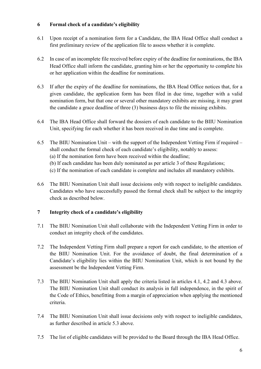#### **6 Formal check of a candidate's eligibility**

- 6.1 Upon receipt of a nomination form for a Candidate, the IBA Head Office shall conduct a first preliminary review of the application file to assess whether it is complete.
- 6.2 In case of an incomplete file received before expiry of the deadline for nominations, the IBA Head Office shall inform the candidate, granting him or her the opportunity to complete his or her application within the deadline for nominations.
- 6.3 If after the expiry of the deadline for nominations, the IBA Head Office notices that, for a given candidate, the application form has been filed in due time, together with a valid nomination form, but that one or several other mandatory exhibits are missing, it may grant the candidate a grace deadline of three (3) business days to file the missing exhibits.
- 6.4 The IBA Head Office shall forward the dossiers of each candidate to the BIIU Nomination Unit, specifying for each whether it has been received in due time and is complete.
- 6.5 The BIIU Nomination Unit with the support of the Independent Vetting Firm if required shall conduct the formal check of each candidate's eligibility, notably to assess: (a) If the nomination form have been received within the deadline; (b) If each candidate has been duly nominated as per article 3 of these Regulations; (c) If the nomination of each candidate is complete and includes all mandatory exhibits.
- 6.6 The BIIU Nomination Unit shall issue decisions only with respect to ineligible candidates. Candidates who have successfully passed the formal check shall be subject to the integrity check as described below.

### **7 Integrity check of a candidate's eligibility**

- 7.1 The BIIU Nomination Unit shall collaborate with the Independent Vetting Firm in order to conduct an integrity check of the candidates.
- 7.2 The Independent Vetting Firm shall prepare a report for each candidate, to the attention of the BIIU Nomination Unit. For the avoidance of doubt, the final determination of a Candidate's eligibility lies within the BIIU Nomination Unit, which is not bound by the assessment be the Independent Vetting Firm.
- 7.3 The BIIU Nomination Unit shall apply the criteria listed in articles 4.1, 4.2 and 4.3 above. The BIIU Nomination Unit shall conduct its analysis in full independence, in the spirit of the Code of Ethics, benefitting from a margin of appreciation when applying the mentioned criteria.
- 7.4 The BIIU Nomination Unit shall issue decisions only with respect to ineligible candidates, as further described in article 5.3 above.
- 7.5 The list of eligible candidates will be provided to the Board through the IBA Head Office.